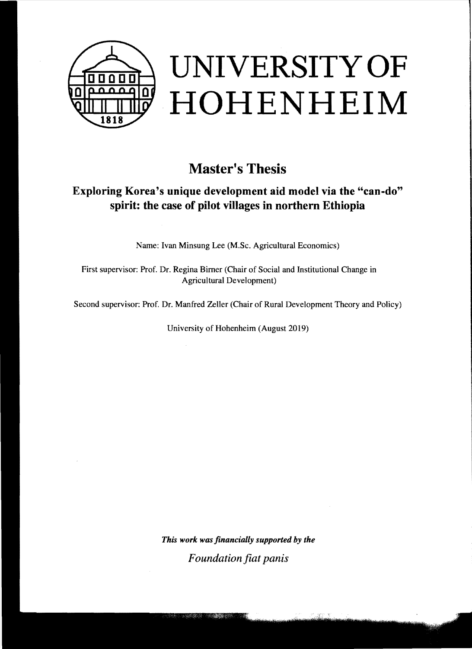

## **Master's Thesis**

## **Exploring Korea's unique development aid model via the "can-do" spirit: the case of pilot villages in northern Ethiopia**

Name: Ivan Minsung Lee (M.Sc. Agricultural Economics)

First supervisor: Prof. Dr. Regina Bimer (Chair of Social and Institutional Change in Agrieultural Development)

Second supervisor: Prof. Dr. Manfred Zeller (Chair of Rural Development Theory and Policy)

University of Hohenheim (August 2019)

*This work was financially supported by the F oundation fiat panis*